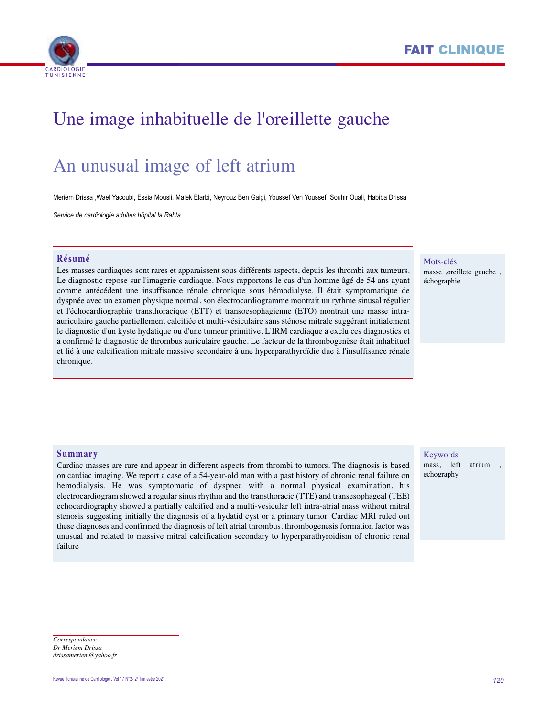



# Une image inhabituelle de l'oreillette gauche

# An unusual image of left atrium

Meriem Drissa ,Wael Yacoubi, Essia Mousli, Malek Elarbi, Neyrouz Ben Gaigi, Youssef Ven Youssef Souhir Ouali, Habiba Drissa

*Service de cardiologie adultes hôpital la Rabta*

## **Résumé**

Les masses cardiaques sont rares et apparaissent sous différents aspects, depuis les thrombi aux tumeurs. Le diagnostic repose sur l'imagerie cardiaque. Nous rapportons le cas d'un homme âgé de 54 ans ayant comme antécédent une insuffisance rénale chronique sous hémodialyse. Il était symptomatique de dyspnée avec un examen physique normal, son électrocardiogramme montrait un rythme sinusal régulier et l'échocardiographie transthoracique (ETT) et transoesophagienne (ETO) montrait une masse intraauriculaire gauche partiellement calcifiée et multi-vésiculaire sans sténose mitrale suggérant initialement le diagnostic d'un kyste hydatique ou d'une tumeur primitive. L'IRM cardiaque a exclu ces diagnostics et a confirmé le diagnostic de thrombus auriculaire gauche. Le facteur de la thrombogenèse était inhabituel et lié à une calcification mitrale massive secondaire à une hyperparathyroïdie due à l'insuffisance rénale chronique.

### Mots-clés

masse ,oreillete gauche , échographie

### **Summary**

Cardiac masses are rare and appear in different aspects from thrombi to tumors. The diagnosis is based on cardiac imaging. We report a case of a 54-year-old man with a past history of chronic renal failure on hemodialysis. He was symptomatic of dyspnea with a normal physical examination, his electrocardiogram showed a regular sinus rhythm and the transthoracic (TTE) and transesophageal (TEE) echocardiography showed a partially calcified and a multi-vesicular left intra-atrial mass without mitral stenosis suggesting initially the diagnosis of a hydatid cyst or a primary tumor. Cardiac MRI ruled out these diagnoses and confirmed the diagnosis of left atrial thrombus. thrombogenesis formation factor was unusual and related to massive mitral calcification secondary to hyperparathyroidism of chronic renal failure

## Keywords

mass, left atrium echography

#### *Correspondance Dr Meriem Drissa drissameriem@yahoo.fr*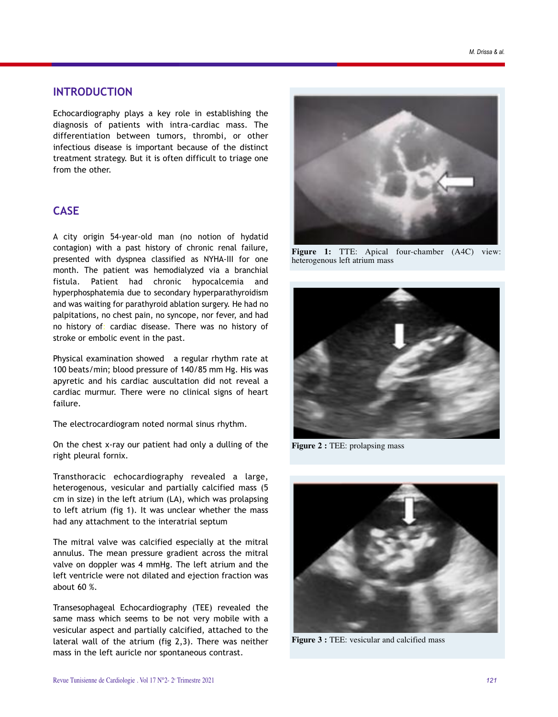## **INTRODUCTION**

Echocardiography plays a key role in establishing the diagnosis of patients with intra-cardiac mass. The differentiation between tumors, thrombi, or other infectious disease is important because of the distinct treatment strategy. But it is often difficult to triage one from the other.

## **CASE**

A city origin 54-year-old man (no notion of hydatid contagion) with a past history of chronic renal failure, presented with dyspnea classified as NYHA-III for one month. The patient was hemodialyzed via a branchial fistula. Patient had chronic hypocalcemia and hyperphosphatemia due to secondary hyperparathyroidism and was waiting for parathyroid ablation surgery. He had no palpitations, no chest pain, no syncope, nor fever, and had no history of: cardiac disease. There was no history of stroke or embolic event in the past.

Physical examination showed a regular rhythm rate at 100 beats/min; blood pressure of 140/85 mm Hg. His was apyretic and his cardiac auscultation did not reveal a cardiac murmur. There were no clinical signs of heart failure.

The electrocardiogram noted normal sinus rhythm.

On the chest x-ray our patient had only a dulling of the right pleural fornix.

Transthoracic echocardiography revealed a large, heterogenous, vesicular and partially calcified mass (5 cm in size) in the left atrium (LA), which was prolapsing to left atrium (fig 1). It was unclear whether the mass had any attachment to the interatrial septum

The mitral valve was calcified especially at the mitral annulus. The mean pressure gradient across the mitral valve on doppler was 4 mmHg. The left atrium and the left ventricle were not dilated and ejection fraction was about 60 %.

Transesophageal Echocardiography (TEE) revealed the same mass which seems to be not very mobile with a vesicular aspect and partially calcified, attached to the lateral wall of the atrium (fig 2,3). There was neither mass in the left auricle nor spontaneous contrast.



**Figure 1:** TTE: Apical four-chamber (A4C) view: heterogenous left atrium mass



**Figure 2 :** TEE: prolapsing mass



**Figure 3 :** TEE: vesicular and calcified mass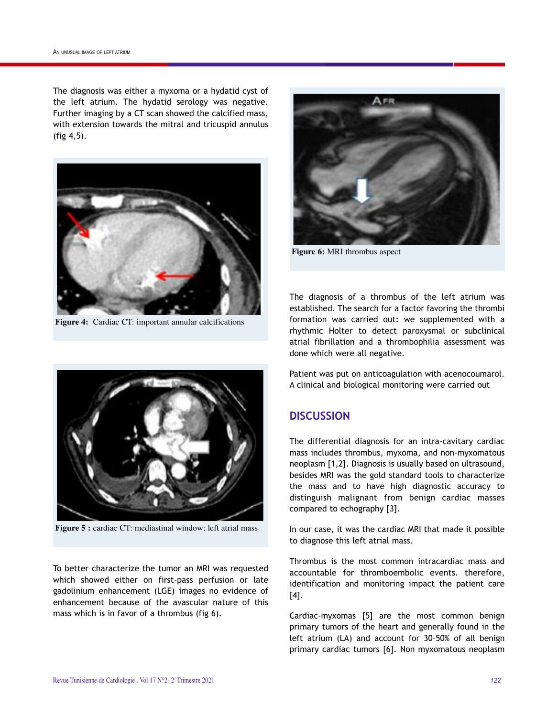The diagnosis was either a myxoma or a hydatid cyst of the left atrium. The hydatid serology was negative. Further imaging by a CT scan showed the calcified mass, with extension towards the mitral and tricuspid annulus (fig 4,5).



**Figure 4:** Cardiac CT: important annular calcifications



**Figure 6:** MRI thrombus aspect

The diagnosis of a thrombus of the left atrium was established. The search for a factor favoring the thrombi formation was carried out: we supplemented with a rhythmic Holter to detect paroxysmal or subclinical atrial fibrillation and a thrombophilia assessment was done which were all negative.

Patient was put on anticoagulation with acenocoumarol. A clinical and biological monitoring were carried out

# **DISCUSSION**

The differential diagnosis for an intra-cavitary cardiac mass includes thrombus, myxoma, and non-myxomatous neoplasm [1,2]. Diagnosis is usually based on ultrasound, besides MRI was the gold standard tools to characterize the mass and to have high diagnostic accuracy to distinguish malignant from benign cardiac masses compared to echography [3].

In our case, it was the cardiac MRI that made it possible to diagnose this left atrial mass.

Thrombus is the most common intracardiac mass and accountable for thromboembolic events. therefore, identification and monitoring impact the patient care [4].

Cardiac-myxomas [5] are the most common benign primary tumors of the heart and generally found in the left atrium (LA) and account for 30–50% of all benign primary cardiac tumors [6]. Non myxomatous neoplasm



**Figure 5 :** cardiac CT: mediastinal window: left atrial mass

To better characterize the tumor an MRI was requested which showed either on first-pass perfusion or late gadolinium enhancement (LGE) images no evidence of enhancement because of the avascular nature of this mass which is in favor of a thrombus (fig 6).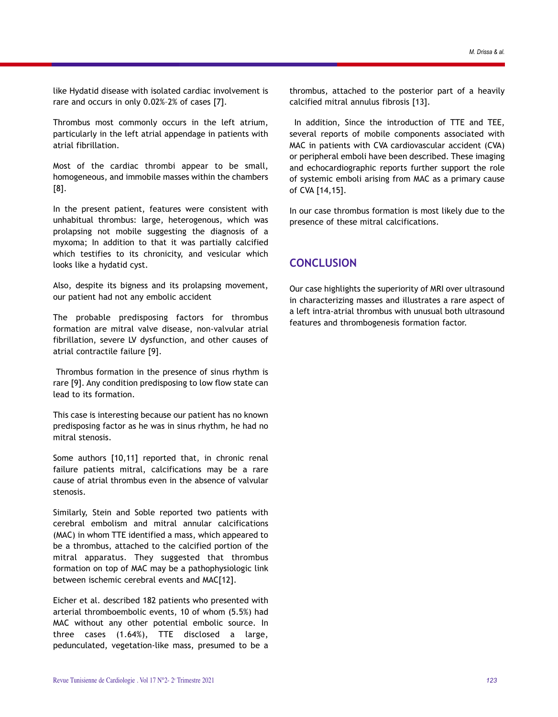like Hydatid disease with isolated cardiac involvement is rare and occurs in only 0.02%–2% of cases [7].

Thrombus most commonly occurs in the left atrium, particularly in the left atrial appendage in patients with atrial fibrillation.

Most of the cardiac thrombi appear to be small, homogeneous, and immobile masses within the chambers [8].

In the present patient, features were consistent with unhabitual thrombus: large, heterogenous, which was prolapsing not mobile suggesting the diagnosis of a myxoma; In addition to that it was partially calcified which testifies to its chronicity, and vesicular which looks like a hydatid cyst.

Also, despite its bigness and its prolapsing movement, our patient had not any embolic accident

The probable predisposing factors for thrombus formation are mitral valve disease, non-valvular atrial fibrillation, severe LV dysfunction, and other causes of atrial contractile failure [9].

Thrombus formation in the presence of sinus rhythm is rare [9]. Any condition predisposing to low flow state can lead to its formation.

This case is interesting because our patient has no known predisposing factor as he was in sinus rhythm, he had no mitral stenosis.

Some authors [10,11] reported that, in chronic renal failure patients mitral, calcifications may be a rare cause of atrial thrombus even in the absence of valvular stenosis.

Similarly, Stein and Soble reported two patients with cerebral embolism and mitral annular calcifications (MAC) in whom TTE identified a mass, which appeared to be a thrombus, attached to the calcified portion of the mitral apparatus. They suggested that thrombus formation on top of MAC may be a pathophysiologic link between ischemic cerebral events and MAC[12].

Eicher et al. described 182 patients who presented with arterial thromboembolic events, 10 of whom (5.5%) had MAC without any other potential embolic source. In three cases (1.64%), TTE disclosed a large, pedunculated, vegetation-like mass, presumed to be a

thrombus, attached to the posterior part of a heavily calcified mitral annulus fibrosis [13].

In addition, Since the introduction of TTE and TEE, several reports of mobile components associated with MAC in patients with CVA cardiovascular accident (CVA) or peripheral emboli have been described. These imaging and echocardiographic reports further support the role of systemic emboli arising from MAC as a primary cause of CVA [14,15].

In our case thrombus formation is most likely due to the presence of these mitral calcifications.

# **CONCLUSION**

Our case highlights the superiority of MRI over ultrasound in characterizing masses and illustrates a rare aspect of a left intra-atrial thrombus with unusual both ultrasound features and thrombogenesis formation factor.